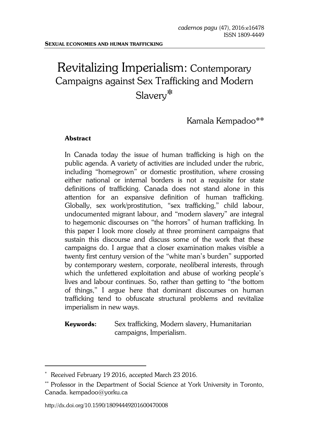# Revitalizing Imperialism: Contemporary Campaigns against Sex Trafficking and Modern Slavery\*

Kamala Kempadoo\*\*

#### **Abstract**

In Canada today the issue of human trafficking is high on the public agenda. A variety of activities are included under the rubric, including "homegrown" or domestic prostitution, where crossing either national or internal borders is not a requisite for state definitions of trafficking. Canada does not stand alone in this attention for an expansive definition of human trafficking. Globally, sex work/prostitution, "sex trafficking," child labour, undocumented migrant labour, and "modern slavery" are integral to hegemonic discourses on "the horrors" of human trafficking. In this paper I look more closely at three prominent campaigns that sustain this discourse and discuss some of the work that these campaigns do. I argue that a closer examination makes visible a twenty first century version of the "white man's burden" supported by contemporary western, corporate, neoliberal interests, through which the unfettered exploitation and abuse of working people's lives and labour continues. So, rather than getting to "the bottom of things," I argue here that dominant discourses on human trafficking tend to obfuscate structural problems and revitalize imperialism in new ways.

**Keywords:** Sex trafficking, Modern slavery, Humanitarian campaigns, Imperialism.

j

Received February 19 2016, accepted March 23 2016.

<sup>\*\*</sup> Professor in the Department of Social Science at York University in Toronto, Canada. kempadoo@yorku.ca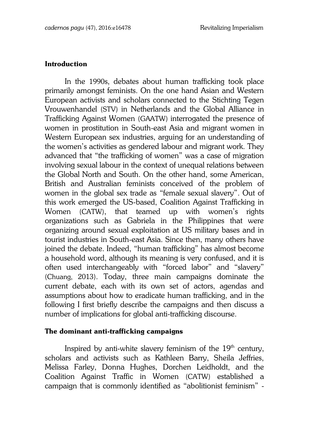## **Introduction**

In the 1990s, debates about human trafficking took place primarily amongst feminists. On the one hand Asian and Western European activists and scholars connected to the Stichting Tegen Vrouwenhandel (STV) in Netherlands and the Global Alliance in Trafficking Against Women (GAATW) interrogated the presence of women in prostitution in South-east Asia and migrant women in Western European sex industries, arguing for an understanding of the women's activities as gendered labour and migrant work. They advanced that "the trafficking of women" was a case of migration involving sexual labour in the context of unequal relations between the Global North and South. On the other hand, some American, British and Australian feminists conceived of the problem of women in the global sex trade as "female sexual slavery". Out of this work emerged the US-based, Coalition Against Trafficking in Women (CATW), that teamed up with women's rights organizations such as Gabriela in the Philippines that were organizing around sexual exploitation at US military bases and in tourist industries in South-east Asia. Since then, many others have joined the debate. Indeed, "human trafficking" has almost become a household word, although its meaning is very confused, and it is often used interchangeably with "forced labor" and "slavery" (Chuang, 2013). Today, three main campaigns dominate the current debate, each with its own set of actors, agendas and assumptions about how to eradicate human trafficking, and in the following I first briefly describe the campaigns and then discuss a number of implications for global anti-trafficking discourse.

# **The dominant anti-trafficking campaigns**

Inspired by anti-white slavery feminism of the  $19<sup>th</sup>$  century, scholars and activists such as Kathleen Barry, Sheila Jeffries, Melissa Farley, Donna Hughes, Dorchen Leidholdt, and the Coalition Against Traffic in Women (CATW) established a campaign that is commonly identified as "abolitionist feminism" -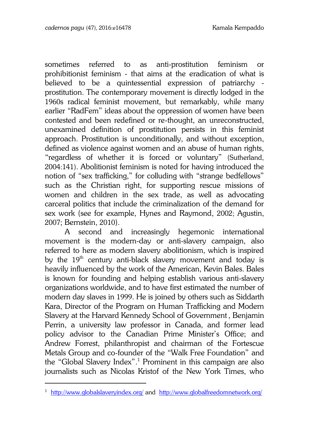sometimes referred to as anti-prostitution feminism or prohibitionist feminism - that aims at the eradication of what is believed to be a quintessential expression of patriarchy prostitution. The contemporary movement is directly lodged in the 1960s radical feminist movement, but remarkably, while many earlier "RadFem" ideas about the oppression of women have been contested and been redefined or re-thought, an unreconstructed, unexamined definition of prostitution persists in this feminist approach. Prostitution is unconditionally, and without exception, defined as violence against women and an abuse of human rights, "regardless of whether it is forced or voluntary" (Sutherland, 2004:141). Abolitionist feminism is noted for having introduced the notion of "sex trafficking," for colluding with "strange bedfellows" such as the Christian right, for supporting rescue missions of women and children in the sex trade, as well as advocating carceral politics that include the criminalization of the demand for sex work (see for example, Hynes and Raymond, 2002; Agustin, 2007; Bernstein, 2010).

A second and increasingly hegemonic international movement is the modern-day or anti-slavery campaign, also referred to here as modern slavery abolitionism, which is inspired by the  $19<sup>th</sup>$  century anti-black slavery movement and today is heavily influenced by the work of the American, Kevin Bales. Bales is known for founding and helping establish various anti-slavery organizations worldwide, and to have first estimated the number of modern day slaves in 1999. He is joined by others such as Siddarth Kara, Director of the Program on Human Trafficking and Modern Slavery at the Harvard Kennedy School of Government , Benjamin Perrin, a university law professor in Canada, and former lead policy advisor to the Canadian Prime Minister's Office; and Andrew Forrest, philanthropist and chairman of the Fortescue Metals Group and co-founder of the "Walk Free Foundation" and the "Global Slavery Index". <sup>1</sup> Prominent in this campaign are also journalists such as Nicolas Kristof of the New York Times, who

 $\overline{a}$ 

<sup>&</sup>lt;sup>1</sup> <http://www.globalslaveryindex.org/> and <http://www.globalfreedomnetwork.org/>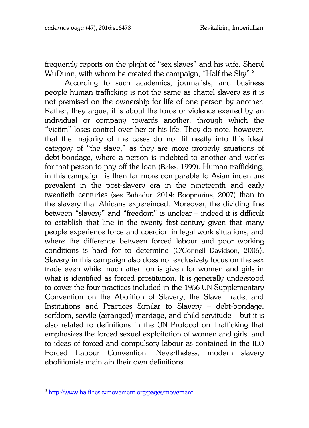frequently reports on the plight of "sex slaves" and his wife, Sheryl WuDunn, with whom he created the campaign, "Half the Sky".<sup>2</sup>

According to such academics, journalists, and business people human trafficking is not the same as chattel slavery as it is not premised on the ownership for life of one person by another. Rather, they argue, it is about the force or violence exerted by an individual or company towards another, through which the "victim" loses control over her or his life. They do note, however, that the majority of the cases do not fit neatly into this ideal category of "the slave," as they are more properly situations of debt-bondage, where a person is indebted to another and works for that person to pay off the loan (Bales, 1999). Human trafficking, in this campaign, is then far more comparable to Asian indenture prevalent in the post-slavery era in the nineteenth and early twentieth centuries (see Bahadur, 2014; Roopnarine, 2007) than to the slavery that Africans expereinced. Moreover, the dividing line between "slavery" and "freedom" is unclear – indeed it is difficult to establish that line in the twenty first-century given that many people experience force and coercion in legal work situations, and where the difference between forced labour and poor working conditions is hard for to determine (O'Connell Davidson, 2006). Slavery in this campaign also does not exclusively focus on the sex trade even while much attention is given for women and girls in what is identified as forced prostitution. It is generally understood to cover the four practices included in the 1956 UN Supplementary Convention on the Abolition of Slavery, the Slave Trade, and Institutions and Practices Similar to Slavery – debt-bondage, serfdom, servile (arranged) marriage, and child servitude – but it is also related to definitions in the UN Protocol on Trafficking that emphasizes the forced sexual exploitation of women and girls, and to ideas of forced and compulsory labour as contained in the ILO Forced Labour Convention. Nevertheless, modern slavery abolitionists maintain their own definitions.

 $\overline{a}$ 

<sup>2</sup> <http://www.halftheskymovement.org/pages/movement>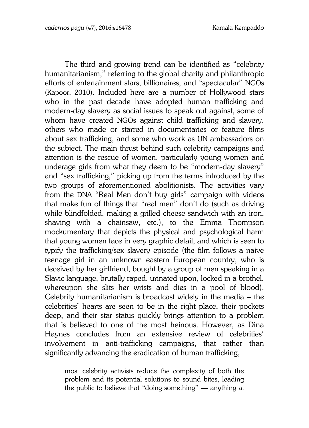The third and growing trend can be identified as "celebrity humanitarianism," referring to the global charity and philanthropic efforts of entertainment stars, billionaires, and "spectacular" NGOs (Kapoor, 2010). Included here are a number of Hollywood stars who in the past decade have adopted human trafficking and modern-day slavery as social issues to speak out against, some of whom have created NGOs against child trafficking and slavery, others who made or starred in documentaries or feature films about sex trafficking, and some who work as UN ambassadors on the subject. The main thrust behind such celebrity campaigns and attention is the rescue of women, particularly young women and underage girls from what they deem to be "modern-day slavery" and "sex trafficking," picking up from the terms introduced by the two groups of aforementioned abolitionists. The activities vary from the DNA "Real Men don't buy girls" campaign with videos that make fun of things that "real men" don't do (such as driving while blindfolded, making a grilled cheese sandwich with an iron, shaving with a chainsaw, etc.), to the Emma Thompson mockumentary that depicts the physical and psychological harm that young women face in very graphic detail, and which is seen to typify the trafficking/sex slavery episode (the film follows a naive teenage girl in an unknown eastern European country, who is deceived by her girlfriend, bought by a group of men speaking in a Slavic language, brutally raped, urinated upon, locked in a brothel, whereupon she slits her wrists and dies in a pool of blood). Celebrity humanitarianism is broadcast widely in the media – the celebrities' hearts are seen to be in the right place, their pockets deep, and their star status quickly brings attention to a problem that is believed to one of the most heinous. However, as Dina Haynes concludes from an extensive review of celebrities' involvement in anti-trafficking campaigns, that rather than significantly advancing the eradication of human trafficking,

most celebrity activists reduce the complexity of both the problem and its potential solutions to sound bites, leading the public to believe that "doing something" — anything at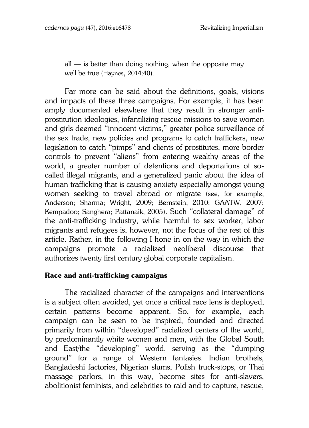all — is better than doing nothing, when the opposite may well be true (Haynes, 2014:40).

Far more can be said about the definitions, goals, visions and impacts of these three campaigns. For example, it has been amply documented elsewhere that they result in stronger antiprostitution ideologies, infantilizing rescue missions to save women and girls deemed "innocent victims," greater police surveillance of the sex trade, new policies and programs to catch traffickers, new legislation to catch "pimps" and clients of prostitutes, more border controls to prevent "aliens" from entering wealthy areas of the world, a greater number of detentions and deportations of socalled illegal migrants, and a generalized panic about the idea of human trafficking that is causing anxiety especially amongst young women seeking to travel abroad or migrate (see, for example, Anderson; Sharma; Wright, 2009; Bernstein, 2010; GAATW, 2007; Kempadoo; Sanghera; Pattanaik, 2005). Such "collateral damage" of the anti-trafficking industry, while harmful to sex worker, labor migrants and refugees is, however, not the focus of the rest of this article. Rather, in the following I hone in on the way in which the campaigns promote a racialized neoliberal discourse that authorizes twenty first century global corporate capitalism.

#### **Race and anti-trafficking campaigns**

The racialized character of the campaigns and interventions is a subject often avoided, yet once a critical race lens is deployed, certain patterns become apparent. So, for example, each campaign can be seen to be inspired, founded and directed primarily from within "developed" racialized centers of the world, by predominantly white women and men, with the Global South and East/the "developing" world, serving as the "dumping ground" for a range of Western fantasies. Indian brothels, Bangladeshi factories, Nigerian slums, Polish truck-stops, or Thai massage parlors, in this way, become sites for anti-slavers, abolitionist feminists, and celebrities to raid and to capture, rescue,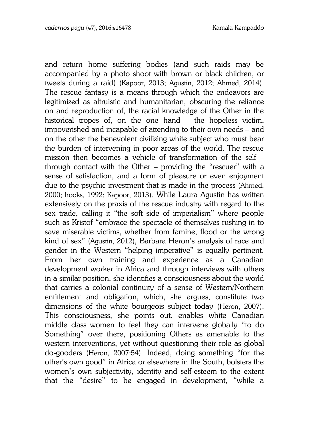and return home suffering bodies (and such raids may be accompanied by a photo shoot with brown or black children, or tweets during a raid) (Kapoor, 2013; Agustin, 2012; Ahmed, 2014). The rescue fantasy is a means through which the endeavors are legitimized as altruistic and humanitarian, obscuring the reliance on and reproduction of, the racial knowledge of the Other in the historical tropes of, on the one hand – the hopeless victim, impoverished and incapable of attending to their own needs – and on the other the benevolent civilizing white subject who must bear the burden of intervening in poor areas of the world. The rescue mission then becomes a vehicle of transformation of the self – through contact with the Other – providing the "rescuer" with a sense of satisfaction, and a form of pleasure or even enjoyment due to the psychic investment that is made in the process (Ahmed, 2000; hooks, 1992; Kapoor, 2013). While Laura Agustin has written extensively on the praxis of the rescue industry with regard to the sex trade, calling it "the soft side of imperialism" where people such as Kristof "embrace the spectacle of themselves rushing in to save miserable victims, whether from famine, flood or the wrong kind of sex" (Agustin, 2012), Barbara Heron's analysis of race and gender in the Western "helping imperative" is equally pertinent. From her own training and experience as a Canadian development worker in Africa and through interviews with others in a similar position, she identifies a consciousness about the world that carries a colonial continuity of a sense of Western/Northern entitlement and obligation, which, she argues, constitute two dimensions of the white bourgeois subject today (Heron, 2007). This consciousness, she points out, enables white Canadian middle class women to feel they can intervene globally "to do Something" over there, positioning Others as amenable to the western interventions, yet without questioning their role as global do-gooders (Heron, 2007:54). Indeed, doing something "for the other's own good" in Africa or elsewhere in the South, bolsters the women's own subjectivity, identity and self-esteem to the extent that the "desire" to be engaged in development, "while a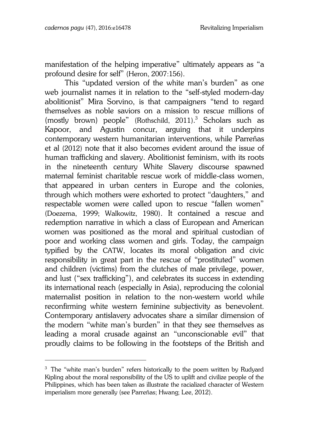$\overline{a}$ 

manifestation of the helping imperative" ultimately appears as "a profound desire for self" (Heron, 2007:156).

This "updated version of the white man's burden" as one web journalist names it in relation to the "self-styled modern-day abolitionist" Mira Sorvino, is that campaigners "tend to regard themselves as noble saviors on a mission to rescue millions of (mostly brown) people" (Rothschild, 2011). <sup>3</sup> Scholars such as Kapoor, and Agustin concur, arguing that it underpins contemporary western humanitarian interventions, while Parreñas et al (2012) note that it also becomes evident around the issue of human trafficking and slavery. Abolitionist feminism, with its roots in the nineteenth century White Slavery discourse spawned maternal feminist charitable rescue work of middle-class women, that appeared in urban centers in Europe and the colonies, through which mothers were exhorted to protect "daughters," and respectable women were called upon to rescue "fallen women" (Doezema, 1999; Walkowitz, 1980). It contained a rescue and redemption narrative in which a class of European and American women was positioned as the moral and spiritual custodian of poor and working class women and girls. Today, the campaign typified by the CATW, locates its moral obligation and civic responsibility in great part in the rescue of "prostituted" women and children (victims) from the clutches of male privilege, power, and lust ("sex trafficking"), and celebrates its success in extending its international reach (especially in Asia), reproducing the colonial maternalist position in relation to the non-western world while reconfirming white western feminine subjectivity as benevolent. Contemporary antislavery advocates share a similar dimension of the modern "white man's burden" in that they see themselves as leading a moral crusade against an "unconscionable evil" that proudly claims to be following in the footsteps of the British and

<sup>&</sup>lt;sup>3</sup> The "white man's burden" refers historically to the poem written by Rudyard Kipling about the moral responsibility of the US to uplift and civilize people of the Philippines, which has been taken as illustrate the racialized character of Western imperialism more generally (see Parreñas; Hwang; Lee, 2012).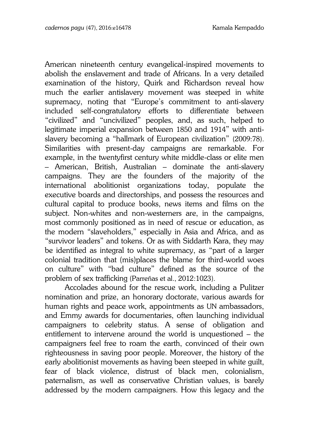American nineteenth century evangelical-inspired movements to abolish the enslavement and trade of Africans. In a very detailed examination of the history, Quirk and Richardson reveal how much the earlier antislavery movement was steeped in white supremacy, noting that "Europe's commitment to anti-slavery included self-congratulatory efforts to differentiate between "civilized" and "uncivilized" peoples, and, as such, helped to legitimate imperial expansion between 1850 and 1914" with antislavery becoming a "hallmark of European civilization" (2009:78). Similarities with present-day campaigns are remarkable. For example, in the twentyfirst century white middle-class or elite men – American, British, Australian – dominate the anti-slavery campaigns. They are the founders of the majority of the international abolitionist organizations today, populate the executive boards and directorships, and possess the resources and cultural capital to produce books, news items and films on the subject. Non-whites and non-westerners are, in the campaigns, most commonly positioned as in need of rescue or education, as the modern "slaveholders," especially in Asia and Africa, and as "survivor leaders" and tokens. Or as with Siddarth Kara, they may be identified as integral to white supremacy, as "part of a larger colonial tradition that (mis)places the blame for third-world woes on culture" with "bad culture" defined as the source of the problem of sex trafficking (Parreñas et al., 2012:1023).

Accolades abound for the rescue work, including a Pulitzer nomination and prize, an honorary doctorate, various awards for human rights and peace work, appointments as UN ambassadors, and Emmy awards for documentaries, often launching individual campaigners to celebrity status. A sense of obligation and entitlement to intervene around the world is unquestioned – the campaigners feel free to roam the earth, convinced of their own righteousness in saving poor people. Moreover, the history of the early abolitionist movements as having been steeped in white guilt, fear of black violence, distrust of black men, colonialism, paternalism, as well as conservative Christian values, is barely addressed by the modern campaigners. How this legacy and the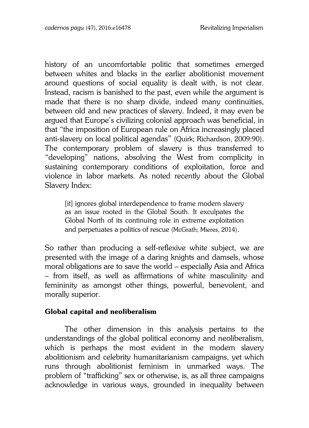history of an uncomfortable politic that sometimes emerged between whites and blacks in the earlier abolitionist movement around questions of social equality is dealt with, is not clear. Instead, racism is banished to the past, even while the argument is made that there is no sharp divide, indeed many continuities, between old and new practices of slavery. Indeed, it may even be argued that Europe's civilizing colonial approach was beneficial, in that "the imposition of European rule on Africa increasingly placed anti-slavery on local political agendas" (Quirk; Richardson, 2009:90). The contemporary problem of slavery is thus transferred to "developing" nations, absolving the West from complicity in sustaining contemporary conditions of exploitation, force and violence in labor markets. As noted recently about the Global Slavery Index:

[it] ignores global interdependence to frame modern slavery as an issue rooted in the Global South. It exculpates the Global North of its continuing role in extreme exploitation and perpetuates a politics of rescue (McGrath; Mieres, 2014).

So rather than producing a self-reflexive white subject, we are presented with the image of a daring knights and damsels, whose moral obligations are to save the world – especially Asia and Africa – from itself, as well as affirmations of white masculinity and femininity as amongst other things, powerful, benevolent, and morally superior.

# **Global capital and neoliberalism**

The other dimension in this analysis pertains to the understandings of the global political economy and neoliberalism, which is perhaps the most evident in the modern slavery abolitionism and celebrity humanitarianism campaigns, yet which runs through abolitionist feminism in unmarked ways. The problem of "trafficking" sex or otherwise, is, as all three campaigns acknowledge in various ways, grounded in inequality between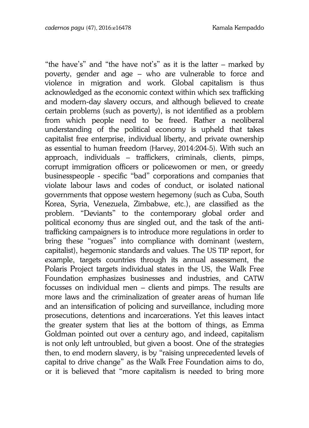"the have's" and "the have not's" as it is the latter – marked by poverty, gender and age – who are vulnerable to force and violence in migration and work. Global capitalism is thus acknowledged as the economic context within which sex trafficking and modern-day slavery occurs, and although believed to create certain problems (such as poverty), is not identified as a problem from which people need to be freed. Rather a neoliberal understanding of the political economy is upheld that takes capitalist free enterprise, individual liberty, and private ownership as essential to human freedom (Harvey, 2014:204-5). With such an approach, individuals – traffickers, criminals, clients, pimps, corrupt immigration officers or policewomen or men, or greedy businesspeople - specific "bad" corporations and companies that violate labour laws and codes of conduct, or isolated national governments that oppose western hegemony (such as Cuba, South Korea, Syria, Venezuela, Zimbabwe, etc.), are classified as the problem. "Deviants" to the contemporary global order and political economy thus are singled out, and the task of the antitrafficking campaigners is to introduce more regulations in order to bring these "rogues" into compliance with dominant (western, capitalist), hegemonic standards and values. The US TIP report, for example, targets countries through its annual assessment, the Polaris Project targets individual states in the US, the Walk Free Foundation emphasizes businesses and industries, and CATW focusses on individual men – clients and pimps. The results are more laws and the criminalization of greater areas of human life and an intensification of policing and surveillance, including more prosecutions, detentions and incarcerations. Yet this leaves intact the greater system that lies at the bottom of things, as Emma Goldman pointed out over a century ago, and indeed, capitalism is not only left untroubled, but given a boost. One of the strategies then, to end modern slavery, is by "raising unprecedented levels of capital to drive change" as the Walk Free Foundation aims to do, or it is believed that "more capitalism is needed to bring more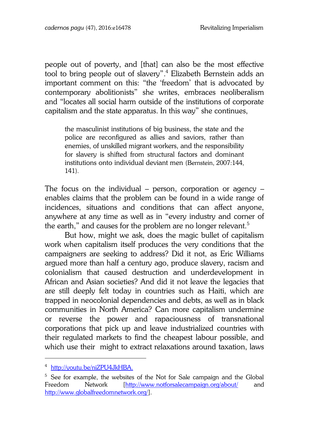people out of poverty, and [that] can also be the most effective tool to bring people out of slavery". <sup>4</sup> Elizabeth Bernstein adds an important comment on this: "the 'freedom' that is advocated by contemporary abolitionists" she writes, embraces neoliberalism and "locates all social harm outside of the institutions of corporate capitalism and the state apparatus. In this way" she continues,

the masculinist institutions of big business, the state and the police are reconfigured as allies and saviors, rather than enemies, of unskilled migrant workers, and the responsibility for slavery is shifted from structural factors and dominant institutions onto individual deviant men (Bernstein, 2007:144, 141).

The focus on the individual – person, corporation or agency – enables claims that the problem can be found in a wide range of incidences, situations and conditions that can affect anyone, anywhere at any time as well as in "every industry and corner of the earth," and causes for the problem are no longer relevant.<sup>5</sup>

But how, might we ask, does the magic bullet of capitalism work when capitalism itself produces the very conditions that the campaigners are seeking to address? Did it not, as Eric Williams argued more than half a century ago, produce slavery, racism and colonialism that caused destruction and underdevelopment in African and Asian societies? And did it not leave the legacies that are still deeply felt today in countries such as Haiti, which are trapped in neocolonial dependencies and debts, as well as in black communities in North America? Can more capitalism undermine or reverse the power and rapaciousness of transnational corporations that pick up and leave industrialized countries with their regulated markets to find the cheapest labour possible, and which use their might to extract relaxations around taxation, laws

j

<sup>4</sup> [http://youtu.be/niZPU4JkHBA.](http://youtu.be/niZPU4JkHBA)

 $5$  See for example, the websites of the Not for Sale campaign and the Global Freedom Network [\[http://www.notforsalecampaign.org/about/](http://www.notforsalecampaign.org/about/) and [http://www.globalfreedomnetwork.org/\]](http://www.globalfreedomnetwork.org/).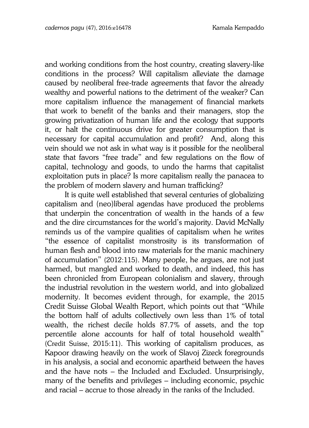and working conditions from the host country, creating slavery-like conditions in the process? Will capitalism alleviate the damage caused by neoliberal free-trade agreements that favor the already wealthy and powerful nations to the detriment of the weaker? Can more capitalism influence the management of financial markets that work to benefit of the banks and their managers, stop the growing privatization of human life and the ecology that supports it, or halt the continuous drive for greater consumption that is necessary for capital accumulation and profit? And, along this vein should we not ask in what way is it possible for the neoliberal state that favors "free trade" and few regulations on the flow of capital, technology and goods, to undo the harms that capitalist exploitation puts in place? Is more capitalism really the panacea to the problem of modern slavery and human trafficking?

It is quite well established that several centuries of globalizing capitalism and (neo)liberal agendas have produced the problems that underpin the concentration of wealth in the hands of a few and the dire circumstances for the world's majority. David McNally reminds us of the vampire qualities of capitalism when he writes "the essence of capitalist monstrosity is its transformation of human flesh and blood into raw materials for the manic machinery of accumulation" (2012:115). Many people, he argues, are not just harmed, but mangled and worked to death, and indeed, this has been chronicled from European colonialism and slavery, through the industrial revolution in the western world, and into globalized modernity. It becomes evident through, for example, the 2015 Credit Suisse Global Wealth Report, which points out that "While the bottom half of adults collectively own less than 1% of total wealth, the richest decile holds 87.7% of assets, and the top percentile alone accounts for half of total household wealth" (Credit Suisse, 2015:11). This working of capitalism produces, as Kapoor drawing heavily on the work of Slavoj Zizeck foregrounds in his analysis, a social and economic apartheid between the haves and the have nots – the Included and Excluded. Unsurprisingly, many of the benefits and privileges – including economic, psychic and racial – accrue to those already in the ranks of the Included.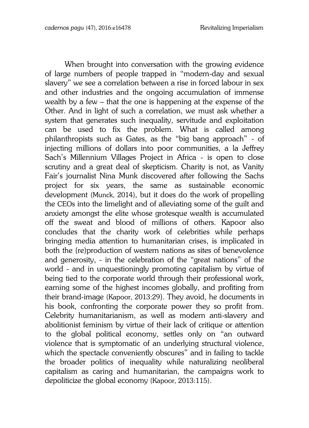When brought into conversation with the growing evidence of large numbers of people trapped in "modern-day and sexual slavery" we see a correlation between a rise in forced labour in sex and other industries and the ongoing accumulation of immense wealth by a few – that the one is happening at the expense of the Other. And in light of such a correlation, we must ask whether a system that generates such inequality, servitude and exploitation can be used to fix the problem. What is called among philanthropists such as Gates, as the "big bang approach" - of injecting millions of dollars into poor communities, a la Jeffrey Sach's Millennium Villages Project in Africa - is open to close scrutiny and a great deal of skepticism. Charity is not, as Vanity Fair's journalist Nina Munk discovered after following the Sachs project for six years, the same as sustainable economic development (Munck, 2014), but it does do the work of propelling the CEOs into the limelight and of alleviating some of the guilt and anxiety amongst the elite whose grotesque wealth is accumulated off the sweat and blood of millions of others. Kapoor also concludes that the charity work of celebrities while perhaps bringing media attention to humanitarian crises, is implicated in both the (re)production of western nations as sites of benevolence and generosity, - in the celebration of the "great nations" of the world - and in unquestioningly promoting capitalism by virtue of being tied to the corporate world through their professional work, earning some of the highest incomes globally, and profiting from their brand-image (Kapoor, 2013:29). They avoid, he documents in his book, confronting the corporate power they so profit from. Celebrity humanitarianism, as well as modern anti-slavery and abolitionist feminism by virtue of their lack of critique or attention to the global political economy, settles only on "an outward violence that is symptomatic of an underlying structural violence, which the spectacle conveniently obscures" and in failing to tackle the broader politics of inequality while naturalizing neoliberal capitalism as caring and humanitarian, the campaigns work to depoliticize the global economy (Kapoor, 2013:115).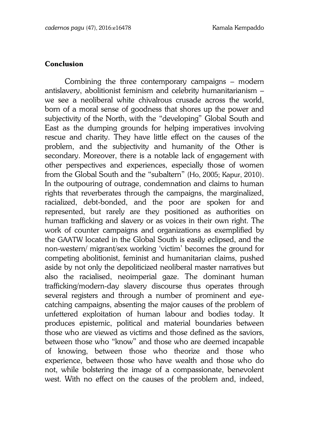## **Conclusion**

Combining the three contemporary campaigns – modern antislavery, abolitionist feminism and celebrity humanitarianism – we see a neoliberal white chivalrous crusade across the world, born of a moral sense of goodness that shores up the power and subjectivity of the North, with the "developing" Global South and East as the dumping grounds for helping imperatives involving rescue and charity. They have little effect on the causes of the problem, and the subjectivity and humanity of the Other is secondary. Moreover, there is a notable lack of engagement with other perspectives and experiences, especially those of women from the Global South and the "subaltern" (Ho, 2005; Kapur, 2010). In the outpouring of outrage, condemnation and claims to human rights that reverberates through the campaigns, the marginalized, racialized, debt-bonded, and the poor are spoken for and represented, but rarely are they positioned as authorities on human trafficking and slavery or as voices in their own right. The work of counter campaigns and organizations as exemplified by the GAATW located in the Global South is easily eclipsed, and the non-western/ migrant/sex working 'victim' becomes the ground for competing abolitionist, feminist and humanitarian claims, pushed aside by not only the depoliticized neoliberal master narratives but also the racialised, neoimperial gaze. The dominant human trafficking/modern-day slavery discourse thus operates through several registers and through a number of prominent and eyecatching campaigns, absenting the major causes of the problem of unfettered exploitation of human labour and bodies today. It produces epistemic, political and material boundaries between those who are viewed as victims and those defined as the saviors, between those who "know" and those who are deemed incapable of knowing, between those who theorize and those who experience, between those who have wealth and those who do not, while bolstering the image of a compassionate, benevolent west. With no effect on the causes of the problem and, indeed,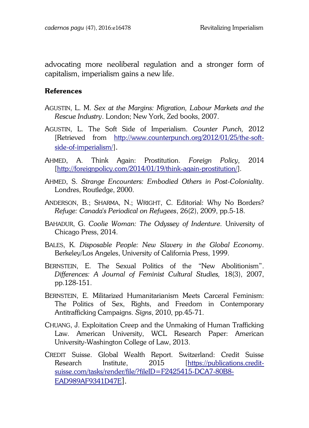advocating more neoliberal regulation and a stronger form of capitalism, imperialism gains a new life.

## **References**

- AGUSTIN, L. M. *Sex at the Margins: Migration, Labour Markets and the Rescue Industry*. London; New York, Zed books, 2007.
- AGUSTIN, L. The Soft Side of Imperialism. *Counter Punch,* 2012 [Retrieved from [http://www.counterpunch.org/2012/01/25/the-soft](http://www.counterpunch.org/2012/01/25/the-soft-side-of-imperialism/)[side-of-imperialism/\]](http://www.counterpunch.org/2012/01/25/the-soft-side-of-imperialism/).
- AHMED, A. Think Again: Prostitution. *Foreign Policy,* 2014 [\[http://foreignpolicy.com/2014/01/19/think-again-prostitution/\]](http://foreignpolicy.com/2014/01/19/think-again-prostitution/).
- AHMED, S. *Strange Encounters: Embodied Others in Post-Coloniality*. Londres, Routledge, 2000.
- ANDERSON, B.; SHARMA, N.; WRIGHT, C. Editorial: Why No Borders? *Refuge: Canada's Periodical on Refugees*, 26(2), 2009, pp.5-18.
- BAHADUR, G. *Coolie Woman: The Odyssey of Indenture.* University of Chicago Press, 2014.
- BALES, K. *Disposable People: New Slavery in the Global Economy*. Berkeley/Los Angeles, University of California Press, 1999.
- BERNSTEIN, E. The Sexual Politics of the "New Abolitionism". *Differences: A Journal of Feminist Cultural Studies,* 18(3), 2007, pp.128-151.
- BERNSTEIN, E. Militarized Humanitarianism Meets Carceral Feminism: The Politics of Sex, Rights, and Freedom in Contemporary Antitrafficking Campaigns. *Signs*, 2010, pp.45-71.
- CHUANG, J. Exploitation Creep and the Unmaking of Human Trafficking Law. American University, WCL Research Paper: American University-Washington College of Law, 2013.
- CREDIT Suisse. Global Wealth Report. Switzerland: Credit Suisse Research Institute, 2015 [\[https://publications.credit](https://publications.credit-suisse.com/tasks/render/file/?fileID=F2425415-DCA7-80B8-EAD989AF9341D47E)[suisse.com/tasks/render/file/?fileID=F2425415-DCA7-80B8-](https://publications.credit-suisse.com/tasks/render/file/?fileID=F2425415-DCA7-80B8-EAD989AF9341D47E) [EAD989AF9341D47E](https://publications.credit-suisse.com/tasks/render/file/?fileID=F2425415-DCA7-80B8-EAD989AF9341D47E)].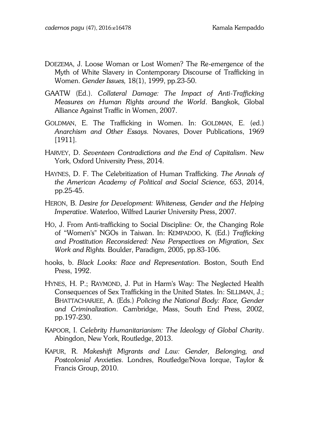- DOEZEMA, J. Loose Woman or Lost Women? The Re-emergence of the Myth of White Slavery in Contemporary Discourse of Trafficking in Women. *Gender Issues,* 18(1), 1999, pp.23-50.
- GAATW (Ed.). *Collateral Damage: The Impact of Anti-Trafficking Measures on Human Rights around the World*. Bangkok, Global Alliance Against Traffic in Women, 2007.
- GOLDMAN, E. The Trafficking in Women. In: GOLDMAN, E. (ed.) *Anarchism and Other Essays.* Novares, Dover Publications, 1969 [1911].
- HARVEY, D. *Seventeen Contradictions and the End of Capitalism*. New York, Oxford University Press, 2014.
- HAYNES, D. F. The Celebritization of Human Trafficking. *The Annals of the American Academy of Political and Social Science,* 653, 2014, pp.25-45.
- HERON, B. *Desire for Development: Whiteness, Gender and the Helping Imperative*. Waterloo, Wilfred Laurier University Press, 2007.
- HO, J. From Anti-trafficking to Social Discipline: Or, the Changing Role of "Women's" NGOs in Taiwan. In: KEMPADOO, K. (Ed.) *Trafficking and Prostitution Reconsidered: New Perspectives on Migration, Sex Work and Rights.* Boulder, Paradigm, 2005, pp.83-106.
- hooks, b. *Black Looks: Race and Representation.* Boston, South End Press, 1992.
- HYNES, H. P.; RAYMOND, J. Put in Harm's Way: The Neglected Health Consequences of Sex Trafficking in the United States. In: SILLIMAN, J.; BHATTACHARJEE, A. (Eds.) *Policing the National Body: Race, Gender and Criminalization*. Cambridge, Mass, South End Press, 2002, pp.197-230.
- KAPOOR, I. *Celebrity Humanitarianism: The Ideology of Global Charity*. Abingdon, New York, Routledge, 2013.
- KAPUR, R. *Makeshift Migrants and Law: Gender, Belonging, and Postcolonial Anxieties*. Londres, Routledge/Nova Iorque, Taylor & Francis Group, 2010.